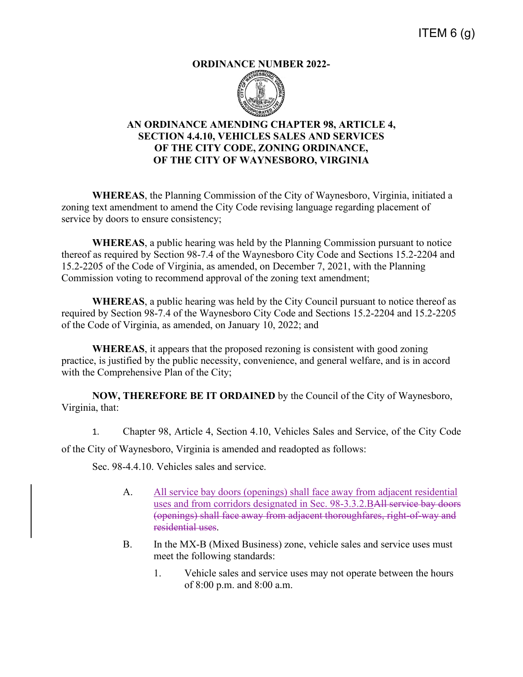## **ORDINANCE NUMBER 2022-**



## **AN ORDINANCE AMENDING CHAPTER 98, ARTICLE 4, SECTION 4.4.10, VEHICLES SALES AND SERVICES OF THE CITY CODE, ZONING ORDINANCE, OF THE CITY OF WAYNESBORO, VIRGINIA**

**WHEREAS**, the Planning Commission of the City of Waynesboro, Virginia, initiated a zoning text amendment to amend the City Code revising language regarding placement of service by doors to ensure consistency;

**WHEREAS**, a public hearing was held by the Planning Commission pursuant to notice thereof as required by Section 98-7.4 of the Waynesboro City Code and Sections 15.2-2204 and 15.2-2205 of the Code of Virginia, as amended, on December 7, 2021, with the Planning Commission voting to recommend approval of the zoning text amendment;

**WHEREAS**, a public hearing was held by the City Council pursuant to notice thereof as required by Section 98-7.4 of the Waynesboro City Code and Sections 15.2-2204 and 15.2-2205 of the Code of Virginia, as amended, on January 10, 2022; and

**WHEREAS**, it appears that the proposed rezoning is consistent with good zoning practice, is justified by the public necessity, convenience, and general welfare, and is in accord with the Comprehensive Plan of the City;

**NOW, THEREFORE BE IT ORDAINED** by the Council of the City of Waynesboro, Virginia, that:

1. Chapter 98, Article 4, Section 4.10, Vehicles Sales and Service, of the City Code

of the City of Waynesboro, Virginia is amended and readopted as follows:

Sec. 98-4.4.10. Vehicles sales and service.

- A. All service bay doors (openings) shall face away from adjacent residential uses and from corridors designated in Sec. 98-3.3.2.BAll service bay doors (openings) shall face away from adjacent thoroughfares, right-of-way and residential uses.
- B. In the MX-B (Mixed Business) zone, vehicle sales and service uses must meet the following standards:
	- 1. Vehicle sales and service uses may not operate between the hours of 8:00 p.m. and 8:00 a.m.